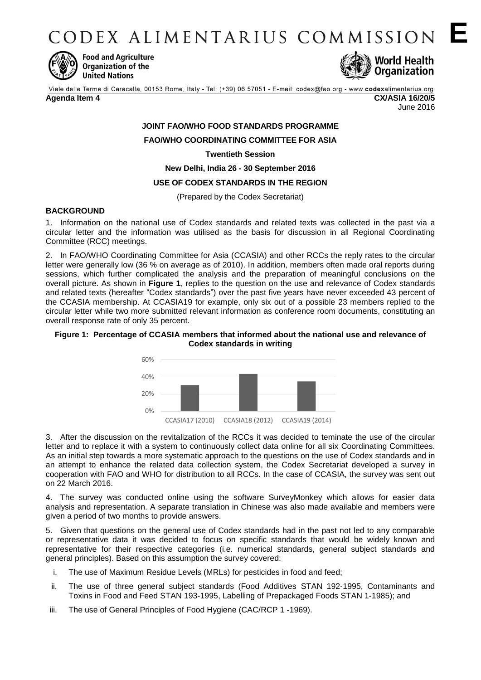CODEX ALIMENTARIUS COMMISSION E



**Food and Agriculture** Organization of the **United Nations** 



Viale delle Terme di Caracalla, 00153 Rome, Italy - Tel: (+39) 06 57051 - E-mail: codex@fao.org - www.codexalimentarius.org **Agenda Item 4 CX/ASIA 16/20/5**

June 2016

# **JOINT FAO/WHO FOOD STANDARDS PROGRAMME FAO/WHO COORDINATING COMMITTEE FOR ASIA**

**Twentieth Session**

**New Delhi, India 26 - 30 September 2016**

### **USE OF CODEX STANDARDS IN THE REGION**

(Prepared by the Codex Secretariat)

### **BACKGROUND**

1. Information on the national use of Codex standards and related texts was collected in the past via a circular letter and the information was utilised as the basis for discussion in all Regional Coordinating Committee (RCC) meetings.

2. In FAO/WHO Coordinating Committee for Asia (CCASIA) and other RCCs the reply rates to the circular letter were generally low (36 % on average as of 2010). In addition, members often made oral reports during sessions, which further complicated the analysis and the preparation of meaningful conclusions on the overall picture. As shown in **Figure 1**, replies to the question on the use and relevance of Codex standards and related texts (hereafter "Codex standards") over the past five years have never exceeded 43 percent of the CCASIA membership. At CCASIA19 for example, only six out of a possible 23 members replied to the circular letter while two more submitted relevant information as conference room documents, constituting an overall response rate of only 35 percent.

#### **Figure 1: Percentage of CCASIA members that informed about the national use and relevance of Codex standards in writing**



3. After the discussion on the revitalization of the RCCs it was decided to teminate the use of the circular letter and to replace it with a system to continuously collect data online for all six Coordinating Committees. As an initial step towards a more systematic approach to the questions on the use of Codex standards and in an attempt to enhance the related data collection system, the Codex Secretariat developed a survey in cooperation with FAO and WHO for distribution to all RCCs. In the case of CCASIA, the survey was sent out on 22 March 2016.

4. The survey was conducted online using the software SurveyMonkey which allows for easier data analysis and representation. A separate translation in Chinese was also made available and members were given a period of two months to provide answers.

5. Given that questions on the general use of Codex standards had in the past not led to any comparable or representative data it was decided to focus on specific standards that would be widely known and representative for their respective categories (i.e. numerical standards, general subject standards and general principles). Based on this assumption the survey covered:

- i. The use of Maximum Residue Levels (MRLs) for pesticides in food and feed;
- ii. The use of three general subject standards (Food Additives STAN 192-1995, Contaminants and Toxins in Food and Feed STAN 193-1995, Labelling of Prepackaged Foods STAN 1-1985); and
- iii. The use of General Principles of Food Hygiene (CAC/RCP 1 -1969).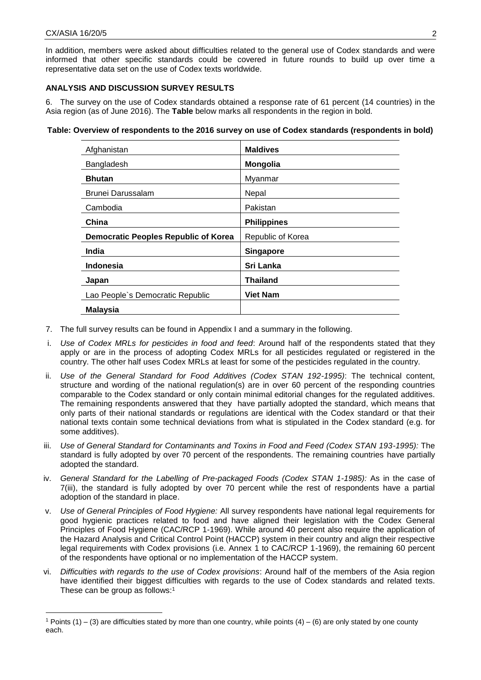<u>.</u>

In addition, members were asked about difficulties related to the general use of Codex standards and were informed that other specific standards could be covered in future rounds to build up over time a representative data set on the use of Codex texts worldwide.

## **ANALYSIS AND DISCUSSION SURVEY RESULTS**

6. The survey on the use of Codex standards obtained a response rate of 61 percent (14 countries) in the Asia region (as of June 2016). The **Table** below marks all respondents in the region in bold.

#### **Table: Overview of respondents to the 2016 survey on use of Codex standards (respondents in bold)**

| Afghanistan                                 | <b>Maldives</b>    |
|---------------------------------------------|--------------------|
| Bangladesh                                  | <b>Mongolia</b>    |
| <b>Bhutan</b>                               | Myanmar            |
| <b>Brunei Darussalam</b>                    | Nepal              |
| Cambodia                                    | Pakistan           |
| China                                       | <b>Philippines</b> |
| <b>Democratic Peoples Republic of Korea</b> | Republic of Korea  |
| India                                       | <b>Singapore</b>   |
| <b>Indonesia</b>                            | Sri Lanka          |
| Japan                                       | Thailand           |
| Lao People's Democratic Republic            | <b>Viet Nam</b>    |
| <b>Malaysia</b>                             |                    |

- 7. The full survey results can be found in Appendix I and a summary in the following.
- i. *Use of Codex MRLs for pesticides in food and feed*: Around half of the respondents stated that they apply or are in the process of adopting Codex MRLs for all pesticides regulated or registered in the country. The other half uses Codex MRLs at least for some of the pesticides regulated in the country.
- ii. *Use of the General Standard for Food Additives (Codex STAN 192-1995)*: The technical content, structure and wording of the national regulation(s) are in over 60 percent of the responding countries comparable to the Codex standard or only contain minimal editorial changes for the regulated additives. The remaining respondents answered that they have partially adopted the standard, which means that only parts of their national standards or regulations are identical with the Codex standard or that their national texts contain some technical deviations from what is stipulated in the Codex standard (e.g. for some additives).
- iii. Use of General Standard for Contaminants and Toxins in Food and Feed (Codex STAN 193-1995): The standard is fully adopted by over 70 percent of the respondents. The remaining countries have partially adopted the standard.
- iv. *General Standard for the Labelling of Pre-packaged Foods (Codex STAN 1-1985):* As in the case of 7(iii), the standard is fully adopted by over 70 percent while the rest of respondents have a partial adoption of the standard in place.
- v. *Use of General Principles of Food Hygiene:* All survey respondents have national legal requirements for good hygienic practices related to food and have aligned their legislation with the Codex General Principles of Food Hygiene (CAC/RCP 1-1969). While around 40 percent also require the application of the Hazard Analysis and Critical Control Point (HACCP) system in their country and align their respective legal requirements with Codex provisions (i.e. Annex 1 to CAC/RCP 1-1969), the remaining 60 percent of the respondents have optional or no implementation of the HACCP system.
- vi. *Difficulties with regards to the use of Codex provisions*: Around half of the members of the Asia region have identified their biggest difficulties with regards to the use of Codex standards and related texts. These can be group as follows:<sup>1</sup>

<sup>1</sup> Points (1) – (3) are difficulties stated by more than one country, while points (4) – (6) are only stated by one county each.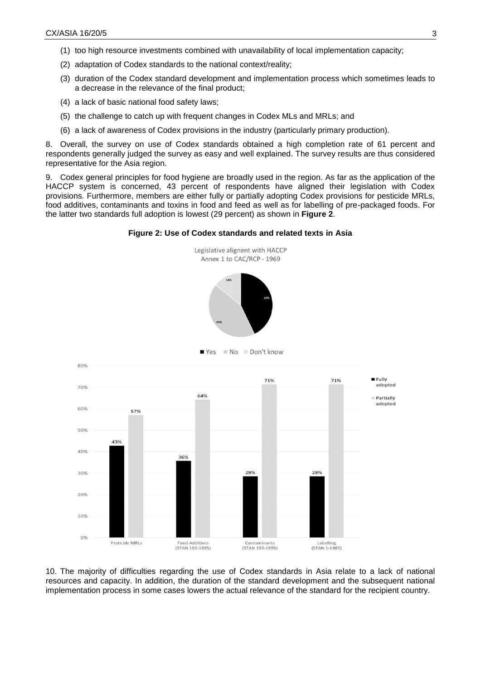- (1) too high resource investments combined with unavailability of local implementation capacity;
- (2) adaptation of Codex standards to the national context/reality;
- (3) duration of the Codex standard development and implementation process which sometimes leads to a decrease in the relevance of the final product;
- (4) a lack of basic national food safety laws;
- (5) the challenge to catch up with frequent changes in Codex MLs and MRLs; and
- (6) a lack of awareness of Codex provisions in the industry (particularly primary production).

8. Overall, the survey on use of Codex standards obtained a high completion rate of 61 percent and respondents generally judged the survey as easy and well explained. The survey results are thus considered representative for the Asia region.

9. Codex general principles for food hygiene are broadly used in the region. As far as the application of the HACCP system is concerned, 43 percent of respondents have aligned their legislation with Codex provisions. Furthermore, members are either fully or partially adopting Codex provisions for pesticide MRLs, food additives, contaminants and toxins in food and feed as well as for labelling of pre-packaged foods. For the latter two standards full adoption is lowest (29 percent) as shown in **Figure 2**.





10. The majority of difficulties regarding the use of Codex standards in Asia relate to a lack of national resources and capacity. In addition, the duration of the standard development and the subsequent national implementation process in some cases lowers the actual relevance of the standard for the recipient country.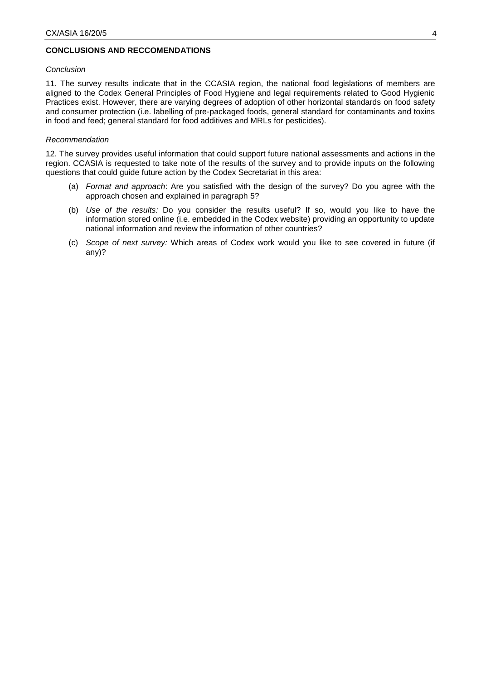### **CONCLUSIONS AND RECCOMENDATIONS**

#### *Conclusion*

11. The survey results indicate that in the CCASIA region, the national food legislations of members are aligned to the Codex General Principles of Food Hygiene and legal requirements related to Good Hygienic Practices exist. However, there are varying degrees of adoption of other horizontal standards on food safety and consumer protection (i.e. labelling of pre-packaged foods, general standard for contaminants and toxins in food and feed; general standard for food additives and MRLs for pesticides).

#### *Recommendation*

12. The survey provides useful information that could support future national assessments and actions in the region. CCASIA is requested to take note of the results of the survey and to provide inputs on the following questions that could guide future action by the Codex Secretariat in this area:

- (a) *Format and approach*: Are you satisfied with the design of the survey? Do you agree with the approach chosen and explained in paragraph 5?
- (b) *Use of the results:* Do you consider the results useful? If so, would you like to have the information stored online (i.e. embedded in the Codex website) providing an opportunity to update national information and review the information of other countries?
- (c) *Scope of next survey:* Which areas of Codex work would you like to see covered in future (if any)?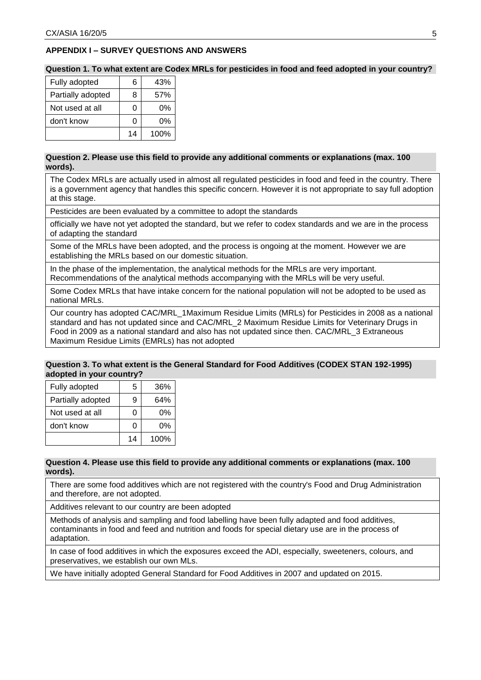## **APPENDIX I – SURVEY QUESTIONS AND ANSWERS**

**Question 1. To what extent are Codex MRLs for pesticides in food and feed adopted in your country?**

| Fully adopted     | 6  | 43%  |
|-------------------|----|------|
| Partially adopted | 8  | 57%  |
| Not used at all   | 0  | 0%   |
| don't know        | 0  | 0%   |
|                   | 14 | 100% |

#### **Question 2. Please use this field to provide any additional comments or explanations (max. 100 words).**

The Codex MRLs are actually used in almost all regulated pesticides in food and feed in the country. There is a government agency that handles this specific concern. However it is not appropriate to say full adoption at this stage.

Pesticides are been evaluated by a committee to adopt the standards

officially we have not yet adopted the standard, but we refer to codex standards and we are in the process of adapting the standard

Some of the MRLs have been adopted, and the process is ongoing at the moment. However we are establishing the MRLs based on our domestic situation.

In the phase of the implementation, the analytical methods for the MRLs are very important. Recommendations of the analytical methods accompanying with the MRLs will be very useful.

Some Codex MRLs that have intake concern for the national population will not be adopted to be used as national MRLs.

Our country has adopted CAC/MRL\_1Maximum Residue Limits (MRLs) for Pesticides in 2008 as a national standard and has not updated since and CAC/MRL\_2 Maximum Residue Limits for Veterinary Drugs in Food in 2009 as a national standard and also has not updated since then. CAC/MRL\_3 Extraneous Maximum Residue Limits (EMRLs) has not adopted

#### **Question 3. To what extent is the General Standard for Food Additives (CODEX STAN 192-1995) adopted in your country?**

| Fully adopted     | 5  | 36%  |
|-------------------|----|------|
| Partially adopted | 9  | 64%  |
| Not used at all   | 0  | 0%   |
| don't know        | C  | 0%   |
|                   | 14 | 100% |

#### **Question 4. Please use this field to provide any additional comments or explanations (max. 100 words).**

There are some food additives which are not registered with the country's Food and Drug Administration and therefore, are not adopted.

Additives relevant to our country are been adopted

Methods of analysis and sampling and food labelling have been fully adapted and food additives, contaminants in food and feed and nutrition and foods for special dietary use are in the process of adaptation.

In case of food additives in which the exposures exceed the ADI, especially, sweeteners, colours, and preservatives, we establish our own MLs.

We have initially adopted General Standard for Food Additives in 2007 and updated on 2015.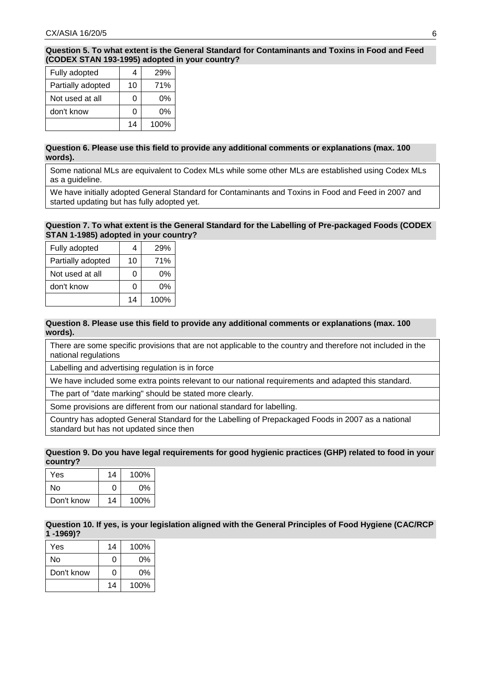**Question 5. To what extent is the General Standard for Contaminants and Toxins in Food and Feed (CODEX STAN 193-1995) adopted in your country?**

| Fully adopted     | Δ  | 29%  |
|-------------------|----|------|
| Partially adopted | 10 | 71%  |
| Not used at all   | ი  | 0%   |
| don't know        | U  | በ%   |
|                   | 14 | 100% |

### **Question 6. Please use this field to provide any additional comments or explanations (max. 100 words).**

Some national MLs are equivalent to Codex MLs while some other MLs are established using Codex MLs as a guideline.

We have initially adopted General Standard for Contaminants and Toxins in Food and Feed in 2007 and started updating but has fully adopted yet.

### **Question 7. To what extent is the General Standard for the Labelling of Pre-packaged Foods (CODEX STAN 1-1985) adopted in your country?**

| Fully adopted     |    | 29%  |
|-------------------|----|------|
| Partially adopted | 10 | 71%  |
| Not used at all   |    | 0%   |
| don't know        |    | 0%   |
|                   | 14 | 100% |

### **Question 8. Please use this field to provide any additional comments or explanations (max. 100 words).**

There are some specific provisions that are not applicable to the country and therefore not included in the national regulations

Labelling and advertising regulation is in force

We have included some extra points relevant to our national requirements and adapted this standard.

The part of "date marking" should be stated more clearly.

Some provisions are different from our national standard for labelling.

Country has adopted General Standard for the Labelling of Prepackaged Foods in 2007 as a national standard but has not updated since then

## **Question 9. Do you have legal requirements for good hygienic practices (GHP) related to food in your country?**

| Yes        | 14 | 100% |
|------------|----|------|
| N٥         | O  | 0%   |
| Don't know | 14 | 100% |

**Question 10. If yes, is your legislation aligned with the General Principles of Food Hygiene (CAC/RCP 1 -1969)?**

| <b>Yes</b> | 14 | 100% |
|------------|----|------|
| N٥         | n  | 0%   |
| Don't know | O  | 0%   |
|            | 14 | 100% |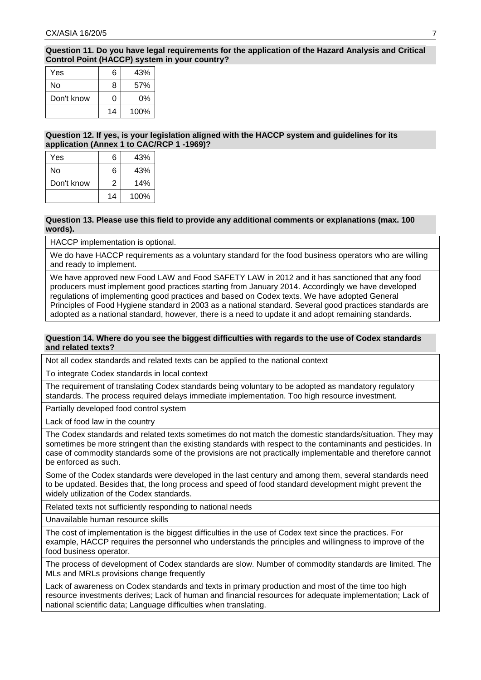### **Question 11. Do you have legal requirements for the application of the Hazard Analysis and Critical Control Point (HACCP) system in your country?**

| Yes        | 6  | 43%  |
|------------|----|------|
| N٥         | 8  | 57%  |
| Don't know | 0  | 0%   |
|            | 14 | 100% |

### **Question 12. If yes, is your legislation aligned with the HACCP system and guidelines for its application (Annex 1 to CAC/RCP 1 -1969)?**

| Yes        | 6  | 43%  |
|------------|----|------|
| N٥         | 6  | 43%  |
| Don't know | 2  | 14%  |
|            | 14 | 100% |

#### **Question 13. Please use this field to provide any additional comments or explanations (max. 100 words).**

HACCP implementation is optional.

We do have HACCP requirements as a voluntary standard for the food business operators who are willing and ready to implement.

We have approved new Food LAW and Food SAFETY LAW in 2012 and it has sanctioned that any food producers must implement good practices starting from January 2014. Accordingly we have developed regulations of implementing good practices and based on Codex texts. We have adopted General Principles of Food Hygiene standard in 2003 as a national standard. Several good practices standards are adopted as a national standard, however, there is a need to update it and adopt remaining standards.

#### **Question 14. Where do you see the biggest difficulties with regards to the use of Codex standards and related texts?**

Not all codex standards and related texts can be applied to the national context

To integrate Codex standards in local context

The requirement of translating Codex standards being voluntary to be adopted as mandatory regulatory standards. The process required delays immediate implementation. Too high resource investment.

Partially developed food control system

Lack of food law in the country

The Codex standards and related texts sometimes do not match the domestic standards/situation. They may sometimes be more stringent than the existing standards with respect to the contaminants and pesticides. In case of commodity standards some of the provisions are not practically implementable and therefore cannot be enforced as such.

Some of the Codex standards were developed in the last century and among them, several standards need to be updated. Besides that, the long process and speed of food standard development might prevent the widely utilization of the Codex standards.

Related texts not sufficiently responding to national needs

Unavailable human resource skills

The cost of implementation is the biggest difficulties in the use of Codex text since the practices. For example, HACCP requires the personnel who understands the principles and willingness to improve of the food business operator.

The process of development of Codex standards are slow. Number of commodity standards are limited. The MLs and MRLs provisions change frequently

Lack of awareness on Codex standards and texts in primary production and most of the time too high resource investments derives; Lack of human and financial resources for adequate implementation; Lack of national scientific data; Language difficulties when translating.